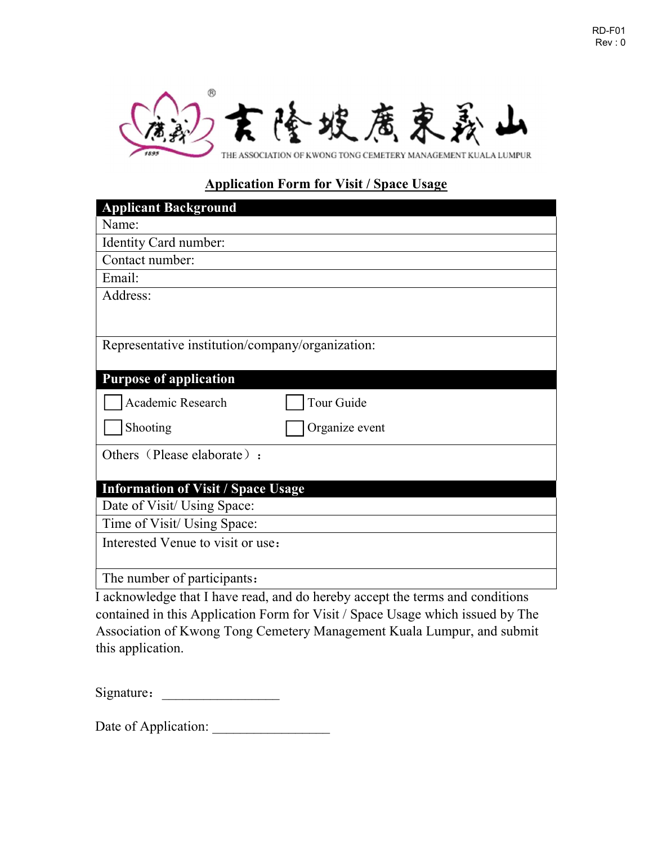



# Application Form for Visit / Space Usage

| <b>Applicant Background</b>                      |
|--------------------------------------------------|
| Name:                                            |
| Identity Card number:                            |
| Contact number:                                  |
| Email:                                           |
| Address:                                         |
|                                                  |
|                                                  |
| Representative institution/company/organization: |
|                                                  |
| <b>Purpose of application</b>                    |
| Tour Guide<br>Academic Research                  |
| Shooting<br>Organize event                       |
| Others (Please elaborate) :                      |
|                                                  |
| <b>Information of Visit / Space Usage</b>        |
| Date of Visit/ Using Space:                      |
| Time of Visit/ Using Space:                      |
| Interested Venue to visit or use:                |
|                                                  |
| The number of participants:                      |

I acknowledge that I have read, and do hereby accept the terms and conditions contained in this Application Form for Visit / Space Usage which issued by The Association of Kwong Tong Cemetery Management Kuala Lumpur, and submit this application.

Signature:

Date of Application: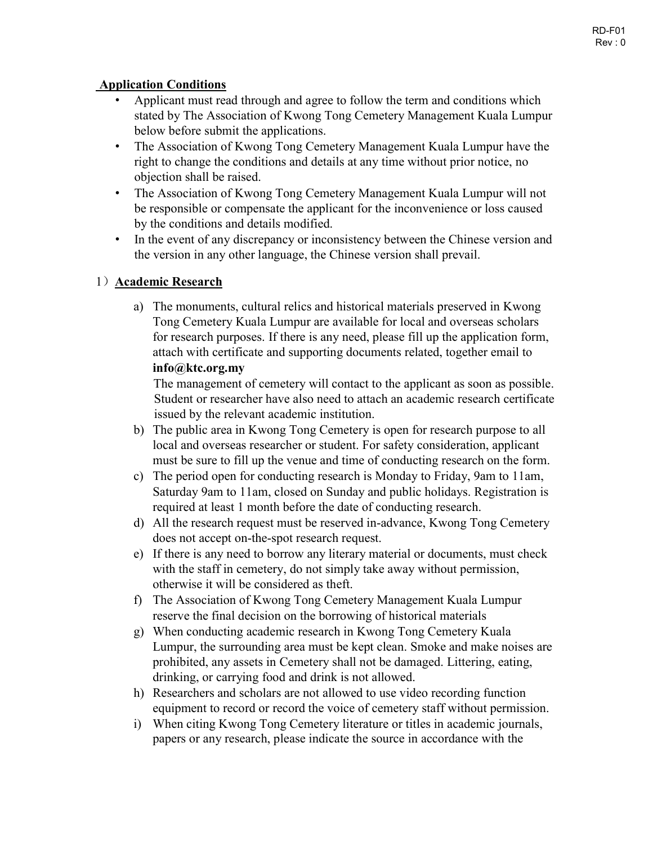### Application Conditions

- Applicant must read through and agree to follow the term and conditions which stated by The Association of Kwong Tong Cemetery Management Kuala Lumpur below before submit the applications.
- The Association of Kwong Tong Cemetery Management Kuala Lumpur have the right to change the conditions and details at any time without prior notice, no objection shall be raised.
- The Association of Kwong Tong Cemetery Management Kuala Lumpur will not be responsible or compensate the applicant for the inconvenience or loss caused by the conditions and details modified.
- In the event of any discrepancy or inconsistency between the Chinese version and the version in any other language, the Chinese version shall prevail.

## 1) Academic Research

a) The monuments, cultural relics and historical materials preserved in Kwong Tong Cemetery Kuala Lumpur are available for local and overseas scholars for research purposes. If there is any need, please fill up the application form, attach with certificate and supporting documents related, together email to info@ktc.org.my

The management of cemetery will contact to the applicant as soon as possible. Student or researcher have also need to attach an academic research certificate issued by the relevant academic institution.

- b) The public area in Kwong Tong Cemetery is open for research purpose to all local and overseas researcher or student. For safety consideration, applicant must be sure to fill up the venue and time of conducting research on the form.
- c) The period open for conducting research is Monday to Friday, 9am to 11am, Saturday 9am to 11am, closed on Sunday and public holidays. Registration is required at least 1 month before the date of conducting research.
- d) All the research request must be reserved in-advance, Kwong Tong Cemetery does not accept on-the-spot research request.
- e) If there is any need to borrow any literary material or documents, must check with the staff in cemetery, do not simply take away without permission, otherwise it will be considered as theft.
- f) The Association of Kwong Tong Cemetery Management Kuala Lumpur reserve the final decision on the borrowing of historical materials
- g) When conducting academic research in Kwong Tong Cemetery Kuala Lumpur, the surrounding area must be kept clean. Smoke and make noises are prohibited, any assets in Cemetery shall not be damaged. Littering, eating, drinking, or carrying food and drink is not allowed.
- h) Researchers and scholars are not allowed to use video recording function equipment to record or record the voice of cemetery staff without permission.
- i) When citing Kwong Tong Cemetery literature or titles in academic journals, papers or any research, please indicate the source in accordance with the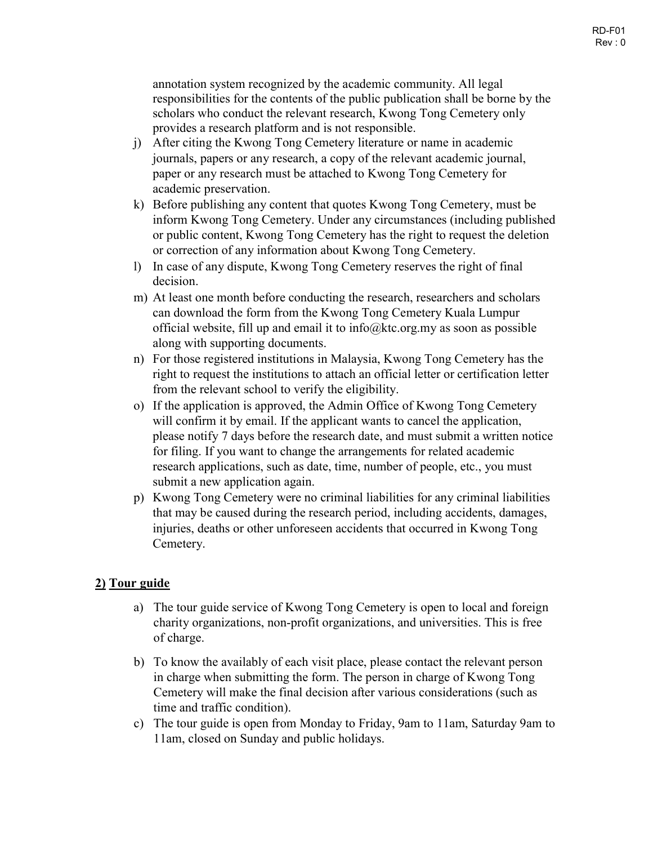annotation system recognized by the academic community. All legal responsibilities for the contents of the public publication shall be borne by the scholars who conduct the relevant research, Kwong Tong Cemetery only provides a research platform and is not responsible.

- j) After citing the Kwong Tong Cemetery literature or name in academic journals, papers or any research, a copy of the relevant academic journal, paper or any research must be attached to Kwong Tong Cemetery for academic preservation.
- k) Before publishing any content that quotes Kwong Tong Cemetery, must be inform Kwong Tong Cemetery. Under any circumstances (including published or public content, Kwong Tong Cemetery has the right to request the deletion or correction of any information about Kwong Tong Cemetery.
- l) In case of any dispute, Kwong Tong Cemetery reserves the right of final decision.
- m) At least one month before conducting the research, researchers and scholars can download the form from the Kwong Tong Cemetery Kuala Lumpur official website, fill up and email it to info@ktc.org.my as soon as possible along with supporting documents.
- n) For those registered institutions in Malaysia, Kwong Tong Cemetery has the right to request the institutions to attach an official letter or certification letter from the relevant school to verify the eligibility.
- o) If the application is approved, the Admin Office of Kwong Tong Cemetery will confirm it by email. If the applicant wants to cancel the application, please notify 7 days before the research date, and must submit a written notice for filing. If you want to change the arrangements for related academic research applications, such as date, time, number of people, etc., you must submit a new application again.
- p) Kwong Tong Cemetery were no criminal liabilities for any criminal liabilities that may be caused during the research period, including accidents, damages, injuries, deaths or other unforeseen accidents that occurred in Kwong Tong Cemetery.

## 2) Tour guide

- a) The tour guide service of Kwong Tong Cemetery is open to local and foreign charity organizations, non-profit organizations, and universities. This is free of charge.
- b) To know the availably of each visit place, please contact the relevant person in charge when submitting the form. The person in charge of Kwong Tong Cemetery will make the final decision after various considerations (such as time and traffic condition).
- c) The tour guide is open from Monday to Friday, 9am to 11am, Saturday 9am to 11am, closed on Sunday and public holidays.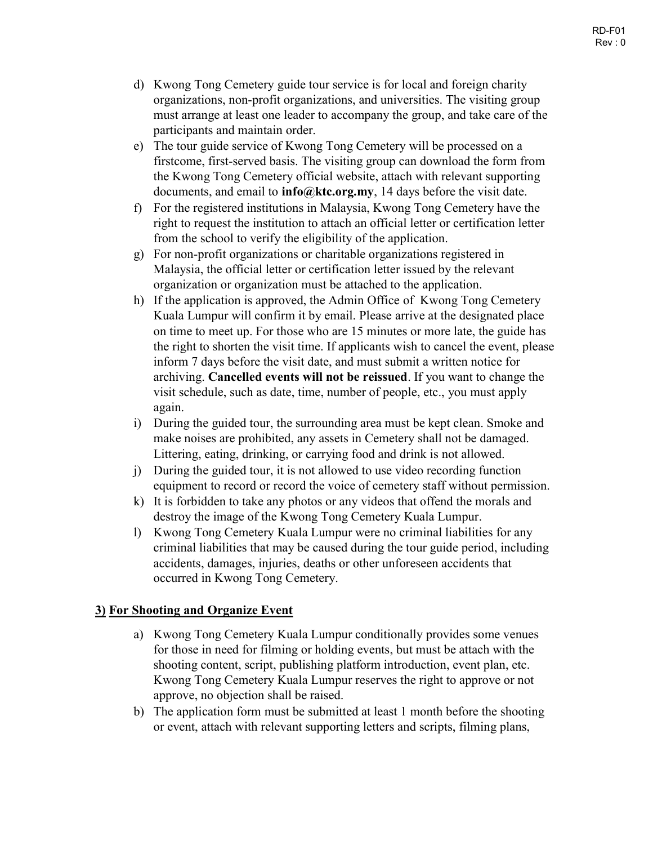- d) Kwong Tong Cemetery guide tour service is for local and foreign charity organizations, non-profit organizations, and universities. The visiting group must arrange at least one leader to accompany the group, and take care of the participants and maintain order.
- e) The tour guide service of Kwong Tong Cemetery will be processed on a firstcome, first-served basis. The visiting group can download the form from the Kwong Tong Cemetery official website, attach with relevant supporting documents, and email to  $info@ktc.org.my$ , 14 days before the visit date.
- f) For the registered institutions in Malaysia, Kwong Tong Cemetery have the right to request the institution to attach an official letter or certification letter from the school to verify the eligibility of the application.
- g) For non-profit organizations or charitable organizations registered in Malaysia, the official letter or certification letter issued by the relevant organization or organization must be attached to the application.
- h) If the application is approved, the Admin Office of Kwong Tong Cemetery Kuala Lumpur will confirm it by email. Please arrive at the designated place on time to meet up. For those who are 15 minutes or more late, the guide has the right to shorten the visit time. If applicants wish to cancel the event, please inform 7 days before the visit date, and must submit a written notice for archiving. Cancelled events will not be reissued. If you want to change the visit schedule, such as date, time, number of people, etc., you must apply again.
- i) During the guided tour, the surrounding area must be kept clean. Smoke and make noises are prohibited, any assets in Cemetery shall not be damaged. Littering, eating, drinking, or carrying food and drink is not allowed.
- j) During the guided tour, it is not allowed to use video recording function equipment to record or record the voice of cemetery staff without permission.
- k) It is forbidden to take any photos or any videos that offend the morals and destroy the image of the Kwong Tong Cemetery Kuala Lumpur.
- l) Kwong Tong Cemetery Kuala Lumpur were no criminal liabilities for any criminal liabilities that may be caused during the tour guide period, including accidents, damages, injuries, deaths or other unforeseen accidents that occurred in Kwong Tong Cemetery.

## 3) For Shooting and Organize Event

- a) Kwong Tong Cemetery Kuala Lumpur conditionally provides some venues for those in need for filming or holding events, but must be attach with the shooting content, script, publishing platform introduction, event plan, etc. Kwong Tong Cemetery Kuala Lumpur reserves the right to approve or not approve, no objection shall be raised.
- b) The application form must be submitted at least 1 month before the shooting or event, attach with relevant supporting letters and scripts, filming plans,